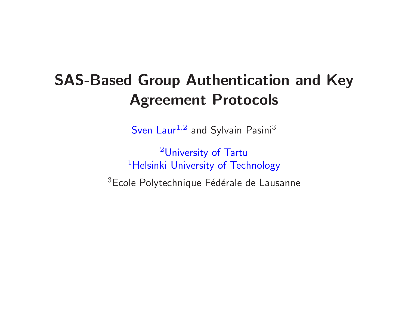## SAS-Based Group Authentication and KeyAgreement Protocols

 $\mathsf{Sven}\,\mathsf{Laur}^{1,2}$  and  $\mathsf{Sylvain}\,\mathsf{Pasini}^3$ 

<sup>2</sup>University of Tartu $^1$ Helsinki University of Technology <sup>3</sup>Ecole Polytechnique Fédérale de Lausanne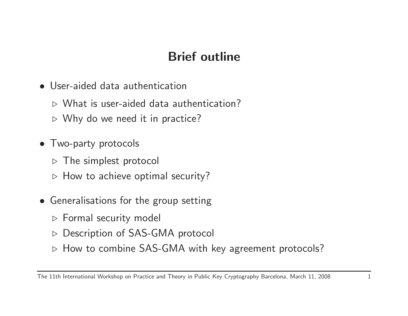## Brief outline

- User-aided data authentication
	- $\triangleright$  What is user-aided data authentication?
	- $\triangleright$  Why do we need it in practice?
- Two-party protocols
	- $\triangleright$  The simplest protocol
	- $\triangleright$  How to achieve optimal security?
- Generalisations for the group setting
	- ⊳ Formal security model
	- ⊲ Description of SAS-GMA protocol
	- ⊲ How to combine SAS-GMA with key agreement protocols?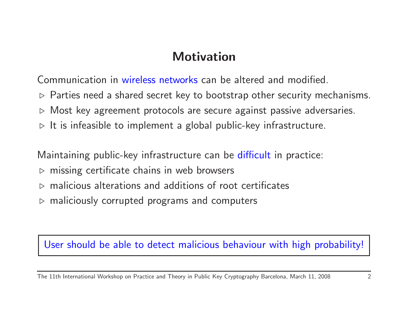#### **Motivation**

Communication in wireless networks can be altered and modified.

- $\triangleright$  Parties need a shared secret key to bootstrap other security mechanisms.
- $\triangleright$  Most key agreement protocols are secure against passive adversaries.
- $\triangleright$  It is infeasible to implement a global public-key infrastructure.

Maintaining public-key infrastructure can be difficult in practice:

- $\triangleright$  missing certificate chains in web browsers
- $\triangleright$  malicious alterations and additions of root certificates
- $\triangleright$  maliciously corrupted programs and computers

#### User should be able to detect malicious behaviour with high probability!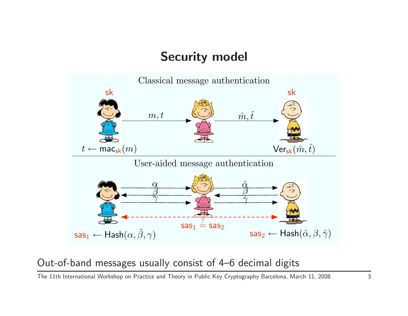#### Security model



#### Out-of-band messages usually consist of 4–6 decimal digits

The 11th International Workshop on Practice and Theory in Public Key Cryptography Barcelona, March 11, <sup>2008</sup> <sup>3</sup>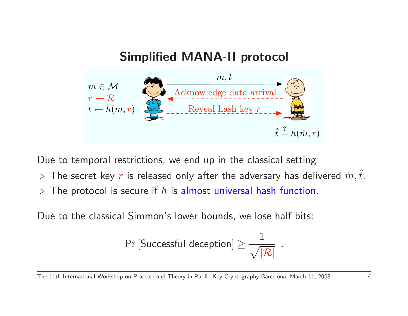

Due to temporal restrictions, we end up in the classical setting

- $\triangleright$  $\triangleright$  The secret key  $r$  is released only after the adversary has delivered  $\hat{m}, \hat{t}.$
- $\triangleright$  $\triangleright$  The protocol is secure if  $h$  is almost universal hash function.

Due to the classical Simmon's lower bounds, we lose half bits:

$$
\Pr\left[\mathsf{Successful}\; \mathsf{deception}\right] \geq \frac{1}{\sqrt{|\mathcal{R}|}}\enspace.
$$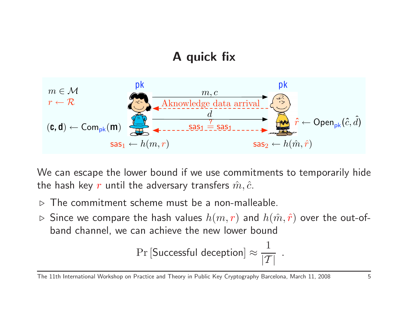## <sup>A</sup> quick fix



We can escape the lower bound if we use commitments to temporarily hidethe hash key  $r$  until the adversary transfers  $\hat{m}, \hat{c}.$ 

- $\triangleright$ The commitment scheme must be <sup>a</sup> non-malleable.
- $\triangleright$  Since we compare the hash values  $h(m,r)$  and  $h(\hat m, \hat r)$  over the out-ofband channel, we can achieve the new lower bound

$$
\Pr\left[\text{Successful deception}\right] \approx \frac{1}{|\mathcal{T}|}~~.
$$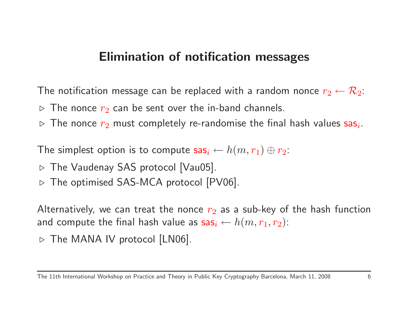## Elimination of notification messages

The notification message can be replaced with a random nonce  $r_2 \leftarrow \mathcal{R}_2$ :

- $\triangleright$  $\triangleright$  The nonce  $r_2$  can be sent over the in-band channels.
- $\triangleright$  The nonce  $r_2$  $_{2}$  must completely re-randomise the final hash values  ${\sf sas}_i$

The simplest option is to compute  ${\sf sas}_i \leftarrow h(m,r_1) \oplus r_2$ :

- $\triangleright$  The Vaudenay SAS protocol [Vau05].
- $\triangleright$  The optimised SAS-MCA protocol [PV06].

Alternatively, we can treat the nonce  $r_{\rm 2}$ and compute the final hash value as  ${\sf sas}_i \leftarrow h(m,r_1,r_2)$ :  $_2$  as a sub-key of the hash function

 $\triangleright$  The MANA IV protocol [LN06].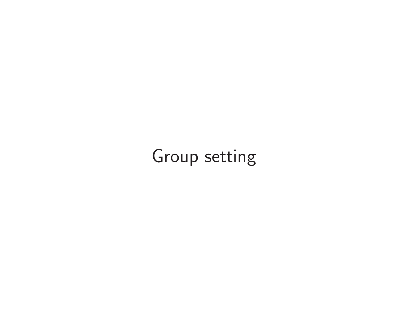# Group setting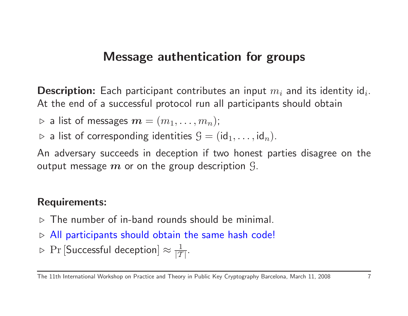## Message authentication for groups

 ${\bf Description:}$  Each participant contributes an input  $m_i$  and its identity id $_i$ At the end of <sup>a</sup> successful protocol run all participants should obtain

 $\triangleright$  a list of messages  $\boldsymbol{m}=(m_1,\ldots,m_n);$ 

 $\triangleright$  a list of corresponding identities  $\mathcal{G} = (\mathsf{id}_1, \dots, \mathsf{id}_n)$ .

An adversary succeeds in deception if two honest parties disagree on theoutput message  $\boldsymbol{m}$  or on the group description  $\mathcal{G}.$ 

#### Requirements:

- $\triangleright$  The number of in-band rounds should be minimal.
- $\triangleright$  All participants should obtain the same hash code!
- $\rhd~{\rm Pr}\left[{\sf Successful}\;{\sf deception}\right]\approx\frac{1}{|{\cal I}|}$  $|\mathcal{T}|$  :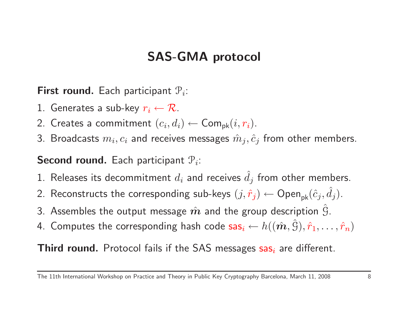### SAS-GMA protocol

**First round.** Each participant  $P_i$ :

- 1. Generates a sub-key  $r_i \leftarrow \mathcal{R}$ .
- 2. Creates a commitment  $(c_i, d_i) \leftarrow$
- 2. Creates a commitment  $(c_i, d_i) \leftarrow \mathsf{Com}_{\mathsf{pk}}(i, r_i).$ 3. Broadcasts  $m_i, c_i$  and receives messages  $\hat{m}_j, \hat{c}_j$  from other members.

**Second round.** Each participant  $P_i$ :

- 1. Releases its decommitment  $d_i$  and receives  $\hat{d}_j$  from other members.
- 2. Reconstructs the corresponding sub-keys  $(j, \hat{r}_j) \leftarrow \mathsf{Open}_{\mathsf{pk}}(\hat{c}_j, \hat{d}_j)$  $d_j).$
- 3. Assembles the output message  $\hat{\bm{m}}$  and the group description  $\hat{\bm{\mathcal{G}}}.$
- 4. Computes the corresponding hash code  $\mathsf{sas}_i \leftarrow$  $\leftarrow h((\hat{\boldsymbol{m}}, \hat{S}), \hat{r}_1, \dots, \hat{r}_n)$

 ${\sf Third\ round.}$  Protocol fails if the SAS messages  ${\sf sas}_i$  are different.

The 11th International Workshop on Practice and Theory in Public Key Cryptography Barcelona, March 11, 2008 8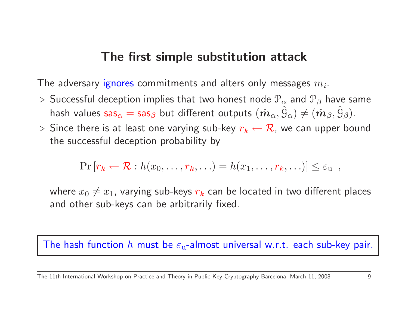#### The first simple substitution attack

The adversary ignores commitments and alters only messages  $m_i.$ 

- $\triangleright$  <code>Successful</code> deception implies that two honest node  $\mathcal{P}_{\alpha}$ hash values  ${\sf sas}_\alpha={\sf sas}_\beta$  but different outputs  $(\hat{\bm m}_\alpha,\hat{\bm{\mathfrak{S}}}_\alpha)\neq(\hat{\bm m}_\beta,\hat{\bm{\mathfrak{S}}}_\beta).$  $\frac{\alpha}{\hat{\alpha}}$  and  $\mathcal{P}_{\beta}$  have same
- $\triangleright$  Since there is at least one varying sub-key  $r_k \leftarrow \mathcal{R}$ , we can upper bound the successful deception probability by

$$
\Pr[r_k \leftarrow \mathcal{R} : h(x_0, \ldots, r_k, \ldots) = h(x_1, \ldots, r_k, \ldots)] \leq \varepsilon_{\mathbf{u}},
$$

where  $x_0\neq x_1$ , varying sub-keys  $r_k$  can be located in two different places and other sub-keys can be arbitrarily fixed.

The hash function  $h$  must be  $\varepsilon_{\rm u}$ -almost universal w.r.t. each sub-key pair.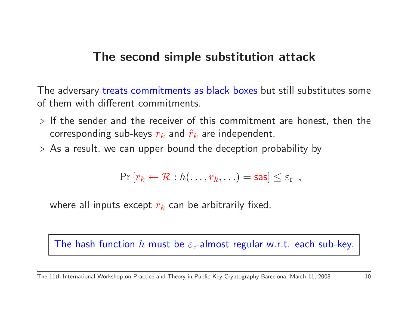#### The second simple substitution attack

The adversary treats commitments as black boxes but still substitutes some of them with different commitments.

- $\triangleright$  If the sender and the receiver of this commitment are honest, then the corresponding sub-keys  $r_k$  and  $\hat{r}_k$  are independent.
- $\triangleright$   $\,$  As a result, we can upper bound the deception probability by

$$
\Pr\left[r_k \leftarrow \mathcal{R} : h(\ldots, r_k, \ldots) = \mathsf{sas}\right] \leq \varepsilon_r ,
$$

where all inputs except  $r_k$  can be arbitrarily fixed.

The hash function  $h$  must be  $\varepsilon_\text{r}$ -almost regular w.r.t. each sub-key.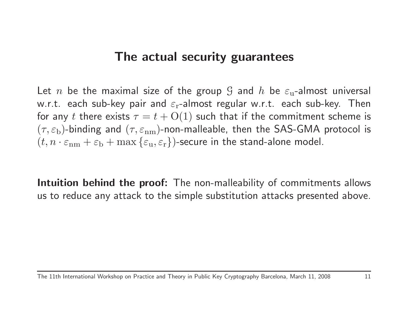#### The actual security guarantees

Let  $n$  be the maximal size of the group  ${\mathcal G}$  and  $h$  be  $\varepsilon_{\text{u}}$ -almost universal w.r.t. each sub-key pair and  $\varepsilon_\text{r}$ -almost regular w.r.t. each sub-key. Then for any  $t$  there exists  $\tau=t + {\rm O}(1)$  such that if the commitment scheme is  $(\tau,\varepsilon_{\rm b})$ -binding and  $(\tau,\varepsilon_{\rm nm})$ -non-malleable, then the SAS-GMA protocol is  $(t,n\cdot\varepsilon_{\rm nm}+\varepsilon_{\rm b}+{\rm max}\left\{\varepsilon_{\rm u},\varepsilon_{\rm r}\right\})$ -secure in the stand-alone model.

Intuition behind the proof: The non-malleability of commitments allows us to reduce any attack to the simple substitution attacks presented above.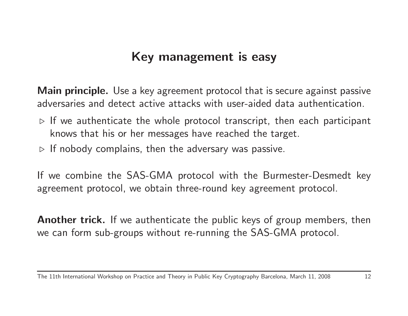## Key management is easy

Main principle. Use a key agreement protocol that is secure against passive adversaries and detect active attacks with user-aided data authentication.

- $\triangleright$  If we authenticate the whole protocol transcript, then each participant knows that his or her messages have reached the target.
- $\triangleright$  If nobody complains, then the adversary was passive.

If we combine the SAS-GMA protocol with the Burmester-Desmedt keyagreement protocol, we obtain three-round key agreement protocol.

Another trick. If we authenticate the public keys of group members, then we can form sub-groups without re-running the SAS-GMA protocol.

The 11th International Workshop on Practice and Theory in Public Key Cryptography Barcelona, March 11, <sup>2008</sup> <sup>12</sup>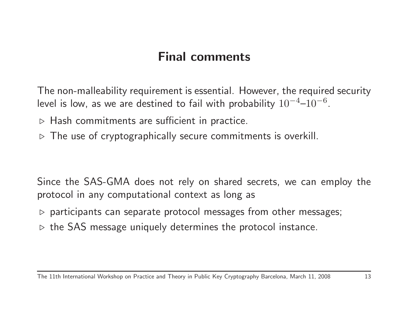#### Final comments

The non-malleability requirement is essential. However, the required securitylevel is low, as we are destined to fail with probability  $10^{-4}\!\!-\!\!10^{-6}$ .

- $\triangleright$   $\,$  Hash commitments are sufficient in practice.
- $\triangleright$  The use of cryptographically secure commitments is overkill.

Since the SAS-GMA does not rely on shared secrets, we can employ theprotocol in any computational context as long as

- $\triangleright$  participants can separate protocol messages from other messages;
- $\triangleright$  the SAS message uniquely determines the protocol instance.